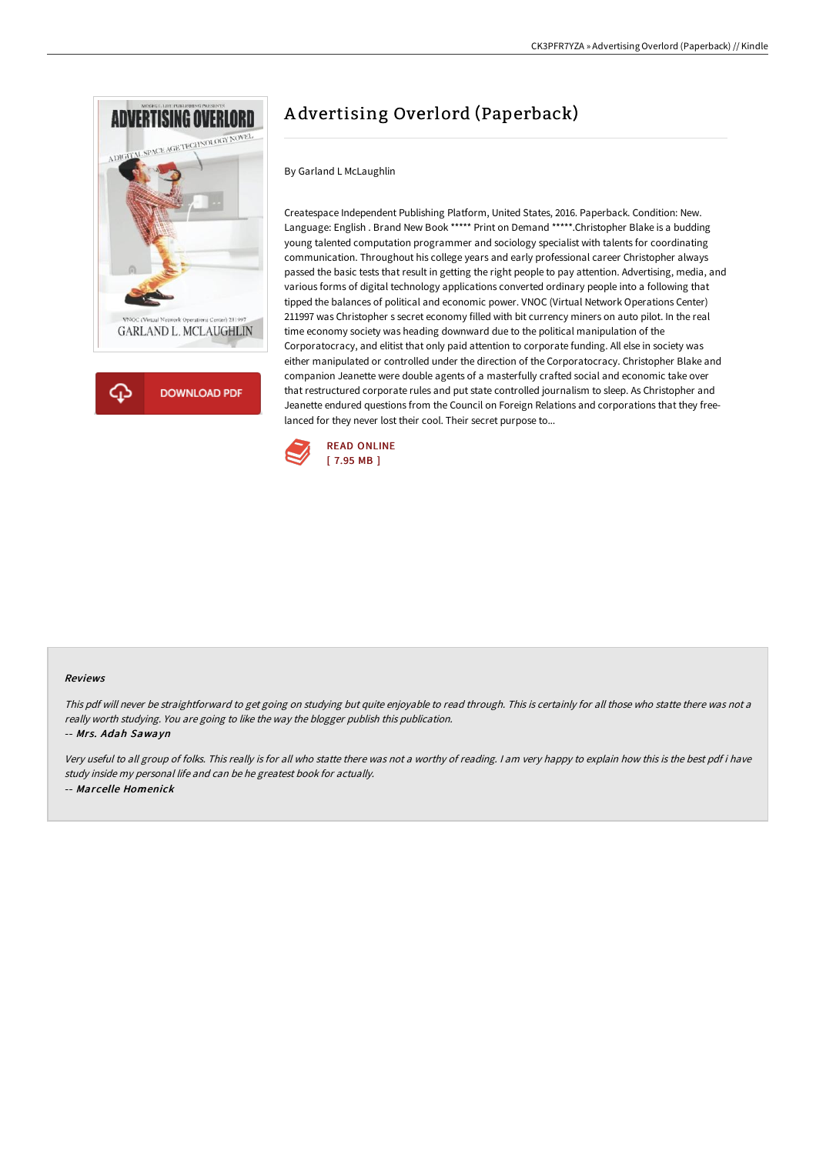

**DOWNLOAD PDF** 

# A dvertising Overlord (Paperback)

By Garland L McLaughlin

Createspace Independent Publishing Platform, United States, 2016. Paperback. Condition: New. Language: English . Brand New Book \*\*\*\*\* Print on Demand \*\*\*\*\*.Christopher Blake is a budding young talented computation programmer and sociology specialist with talents for coordinating communication. Throughout his college years and early professional career Christopher always passed the basic tests that result in getting the right people to pay attention. Advertising, media, and various forms of digital technology applications converted ordinary people into a following that tipped the balances of political and economic power. VNOC (Virtual Network Operations Center) 211997 was Christopher s secret economy filled with bit currency miners on auto pilot. In the real time economy society was heading downward due to the political manipulation of the Corporatocracy, and elitist that only paid attention to corporate funding. All else in society was either manipulated or controlled under the direction of the Corporatocracy. Christopher Blake and companion Jeanette were double agents of a masterfully crafted social and economic take over that restructured corporate rules and put state controlled journalism to sleep. As Christopher and Jeanette endured questions from the Council on Foreign Relations and corporations that they freelanced for they never lost their cool. Their secret purpose to...



#### Reviews

This pdf will never be straightforward to get going on studying but quite enjoyable to read through. This is certainly for all those who statte there was not a really worth studying. You are going to like the way the blogger publish this publication.

## -- Mrs. Adah Sawayn

Very useful to all group of folks. This really is for all who statte there was not <sup>a</sup> worthy of reading. <sup>I</sup> am very happy to explain how this is the best pdf i have study inside my personal life and can be he greatest book for actually. -- Marcelle Homenick